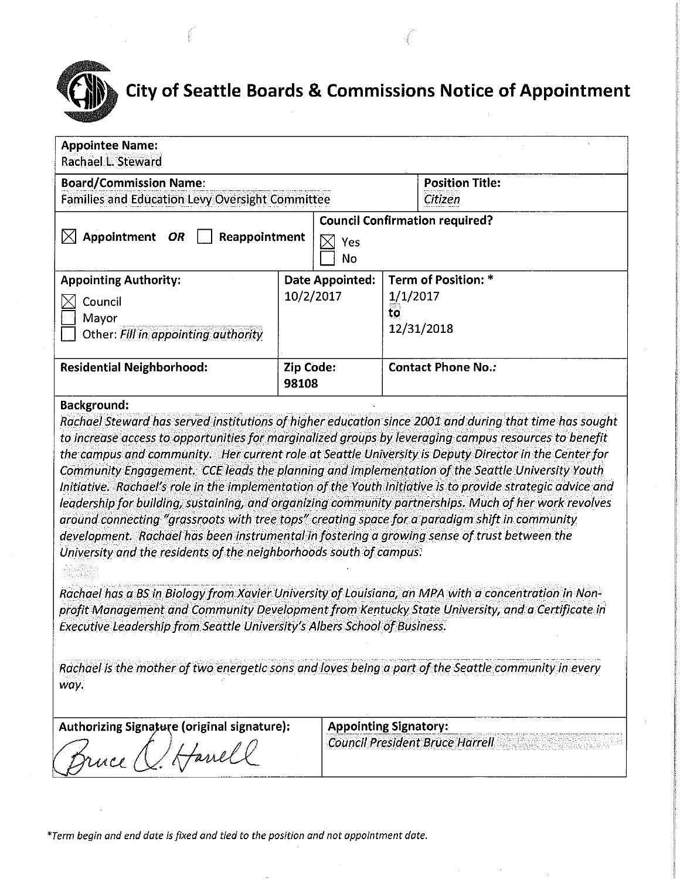# **City of Seattle Boards & Commissions Notice of Appointment**

| <b>Appointee Name:</b><br>Rachael L. Steward                                                                                                                                                                                                                                                                                                                                                                                                                                                                                                                                                                                                                                                                                                                                                                                                                                                                                                                                                                                                                                                                                                                                                                                                                                                                                         |           |                              |          |                                        |
|--------------------------------------------------------------------------------------------------------------------------------------------------------------------------------------------------------------------------------------------------------------------------------------------------------------------------------------------------------------------------------------------------------------------------------------------------------------------------------------------------------------------------------------------------------------------------------------------------------------------------------------------------------------------------------------------------------------------------------------------------------------------------------------------------------------------------------------------------------------------------------------------------------------------------------------------------------------------------------------------------------------------------------------------------------------------------------------------------------------------------------------------------------------------------------------------------------------------------------------------------------------------------------------------------------------------------------------|-----------|------------------------------|----------|----------------------------------------|
| <b>Board/Commission Name:</b>                                                                                                                                                                                                                                                                                                                                                                                                                                                                                                                                                                                                                                                                                                                                                                                                                                                                                                                                                                                                                                                                                                                                                                                                                                                                                                        |           |                              |          | <b>Position Title:</b>                 |
| Families and Education Levy Oversight Committee                                                                                                                                                                                                                                                                                                                                                                                                                                                                                                                                                                                                                                                                                                                                                                                                                                                                                                                                                                                                                                                                                                                                                                                                                                                                                      |           |                              |          | Citizen                                |
|                                                                                                                                                                                                                                                                                                                                                                                                                                                                                                                                                                                                                                                                                                                                                                                                                                                                                                                                                                                                                                                                                                                                                                                                                                                                                                                                      |           |                              |          | <b>Council Confirmation required?</b>  |
| Appointment<br>OR<br>Reappointment                                                                                                                                                                                                                                                                                                                                                                                                                                                                                                                                                                                                                                                                                                                                                                                                                                                                                                                                                                                                                                                                                                                                                                                                                                                                                                   |           | Yes                          |          |                                        |
|                                                                                                                                                                                                                                                                                                                                                                                                                                                                                                                                                                                                                                                                                                                                                                                                                                                                                                                                                                                                                                                                                                                                                                                                                                                                                                                                      |           | No                           |          |                                        |
| <b>Appointing Authority:</b>                                                                                                                                                                                                                                                                                                                                                                                                                                                                                                                                                                                                                                                                                                                                                                                                                                                                                                                                                                                                                                                                                                                                                                                                                                                                                                         |           | <b>Date Appointed:</b>       |          | Term of Position: *                    |
| Council                                                                                                                                                                                                                                                                                                                                                                                                                                                                                                                                                                                                                                                                                                                                                                                                                                                                                                                                                                                                                                                                                                                                                                                                                                                                                                                              |           | 10/2/2017                    | 1/1/2017 |                                        |
| Mayor                                                                                                                                                                                                                                                                                                                                                                                                                                                                                                                                                                                                                                                                                                                                                                                                                                                                                                                                                                                                                                                                                                                                                                                                                                                                                                                                |           |                              | to       |                                        |
| Other: Fill in appointing authority                                                                                                                                                                                                                                                                                                                                                                                                                                                                                                                                                                                                                                                                                                                                                                                                                                                                                                                                                                                                                                                                                                                                                                                                                                                                                                  |           |                              |          | 12/31/2018                             |
|                                                                                                                                                                                                                                                                                                                                                                                                                                                                                                                                                                                                                                                                                                                                                                                                                                                                                                                                                                                                                                                                                                                                                                                                                                                                                                                                      |           |                              |          |                                        |
| <b>Residential Neighborhood:</b>                                                                                                                                                                                                                                                                                                                                                                                                                                                                                                                                                                                                                                                                                                                                                                                                                                                                                                                                                                                                                                                                                                                                                                                                                                                                                                     | Zip Code: |                              |          | <b>Contact Phone No.:</b>              |
|                                                                                                                                                                                                                                                                                                                                                                                                                                                                                                                                                                                                                                                                                                                                                                                                                                                                                                                                                                                                                                                                                                                                                                                                                                                                                                                                      | 98108     |                              |          |                                        |
| Rachael Steward has served institutions of higher education since 2001 and during that time has sought<br>to increase access to opportunities for marginalized groups by leveraging campus resources to benefit<br>the campus and community. Her current role at Seattle University is Deputy Director in the Center for<br>Community Engagement. CCE leads the planning and implementation of the Seattle University Youth<br>Initiative. Rachael's role in the implementation of the Youth Initiative is to provide strategic advice and<br>leadership for building, sustaining, and organizing community partnerships. Much of her work revolves<br>around connecting "grassroots with tree tops" creating space for a paradigm shift in community<br>development. Rachael has been instrumental in fostering a growing sense of trust between the<br>University and the residents of the neighborhoods south of campus.<br>Rachael has a BS in Biology from Xavier University of Louisiana, an MPA with a concentration in Non-<br>profit Management and Community Development from Kentucky State University, and a Certificate in<br>Executive Leadership from Seattle University's Albers School of Business.<br>Rachael is the mother of two energetic sons and loves being a part of the Seattle community in every<br>way. |           |                              |          |                                        |
| <b>Authorizing Signature (original signature):</b><br>Havell<br>ruce (                                                                                                                                                                                                                                                                                                                                                                                                                                                                                                                                                                                                                                                                                                                                                                                                                                                                                                                                                                                                                                                                                                                                                                                                                                                               |           | <b>Appointing Signatory:</b> |          | <b>Council President Bruce Harrell</b> |

\*Term begin and end date is fixed and tied to the position and not appointment date.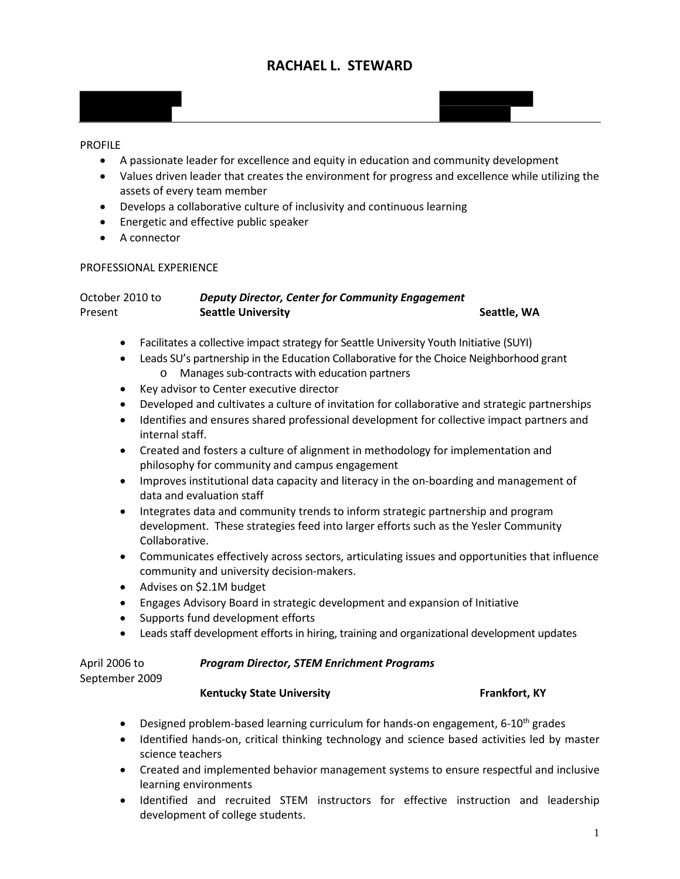# **RACHAEL L. STEWARD**



#### PROFILE

- A passionate leader for excellence and equity in education and community development
- Values driven leader that creates the environment for progress and excellence while utilizing the assets of every team member
- Develops a collaborative culture of inclusivity and continuous learning
- Energetic and effective public speaker
- A connector

#### PROFESSIONAL EXPERIENCE

| October 2010 to | <b>Deputy Director, Center for Community Engagement</b> |             |
|-----------------|---------------------------------------------------------|-------------|
| Present         | <b>Seattle University</b>                               | Seattle, WA |

- Facilitates a collective impact strategy for Seattle University Youth Initiative (SUYI)
- Leads SU's partnership in the Education Collaborative for the Choice Neighborhood grant o Manages sub-contracts with education partners
- Key advisor to Center executive director
- Developed and cultivates a culture of invitation for collaborative and strategic partnerships
- Identifies and ensures shared professional development for collective impact partners and internal staff.
- Created and fosters a culture of alignment in methodology for implementation and philosophy for community and campus engagement
- Improves institutional data capacity and literacy in the on-boarding and management of data and evaluation staff
- Integrates data and community trends to inform strategic partnership and program development. These strategies feed into larger efforts such as the Yesler Community Collaborative.
- Communicates effectively across sectors, articulating issues and opportunities that influence community and university decision-makers.
- Advises on \$2.1M budget
- Engages Advisory Board in strategic development and expansion of Initiative
- Supports fund development efforts
- Leads staff development efforts in hiring, training and organizational development updates

| April 2006 to  |
|----------------|
| September 2009 |

#### **Program Director, STEM Enrichment Programs**

## September 2009

### **Kentucky State University Frankfort, KY**

- Designed problem-based learning curriculum for hands-on engagement,  $6-10^{th}$  grades
- Identified hands-on, critical thinking technology and science based activities led by master science teachers
- Created and implemented behavior management systems to ensure respectful and inclusive learning environments
- Identified and recruited STEM instructors for effective instruction and leadership development of college students.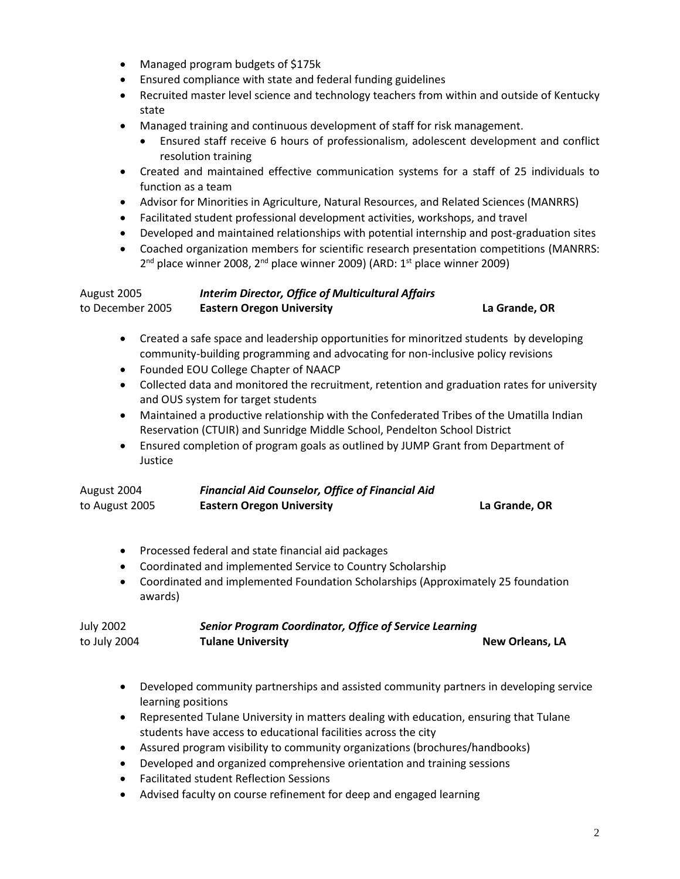- Managed program budgets of \$175k
- Ensured compliance with state and federal funding guidelines
- Recruited master level science and technology teachers from within and outside of Kentucky state
- Managed training and continuous development of staff for risk management.
	- Ensured staff receive 6 hours of professionalism, adolescent development and conflict resolution training
- Created and maintained effective communication systems for a staff of 25 individuals to function as a team
- Advisor for Minorities in Agriculture, Natural Resources, and Related Sciences (MANRRS)
- Facilitated student professional development activities, workshops, and travel
- Developed and maintained relationships with potential internship and post-graduation sites
- Coached organization members for scientific research presentation competitions (MANRRS:  $2<sup>nd</sup>$  place winner 2008,  $2<sup>nd</sup>$  place winner 2009) (ARD:  $1<sup>st</sup>$  place winner 2009)

| August 2005<br>to December 2005 | <b>Interim Director, Office of Multicultural Affairs</b><br><b>Eastern Oregon University</b> | La Grande, OR |
|---------------------------------|----------------------------------------------------------------------------------------------|---------------|
|                                 |                                                                                              |               |

- Created a safe space and leadership opportunities for minoritzed students by developing community-building programming and advocating for non-inclusive policy revisions
- Founded EOU College Chapter of NAACP
- Collected data and monitored the recruitment, retention and graduation rates for university and OUS system for target students
- Maintained a productive relationship with the Confederated Tribes of the Umatilla Indian Reservation (CTUIR) and Sunridge Middle School, Pendelton School District
- Ensured completion of program goals as outlined by JUMP Grant from Department of Justice

| August 2004    | <b>Financial Aid Counselor, Office of Financial Aid</b> |               |
|----------------|---------------------------------------------------------|---------------|
| to August 2005 | <b>Eastern Oregon University</b>                        | La Grande, OR |

- Processed federal and state financial aid packages
- Coordinated and implemented Service to Country Scholarship
- Coordinated and implemented Foundation Scholarships (Approximately 25 foundation awards)

| <b>July 2002</b> | <b>Senior Program Coordinator, Office of Service Learning</b> |                        |
|------------------|---------------------------------------------------------------|------------------------|
| to July 2004     | <b>Tulane University</b>                                      | <b>New Orleans, LA</b> |

- Developed community partnerships and assisted community partners in developing service learning positions
- Represented Tulane University in matters dealing with education, ensuring that Tulane students have access to educational facilities across the city
- Assured program visibility to community organizations (brochures/handbooks)
- Developed and organized comprehensive orientation and training sessions
- Facilitated student Reflection Sessions
- Advised faculty on course refinement for deep and engaged learning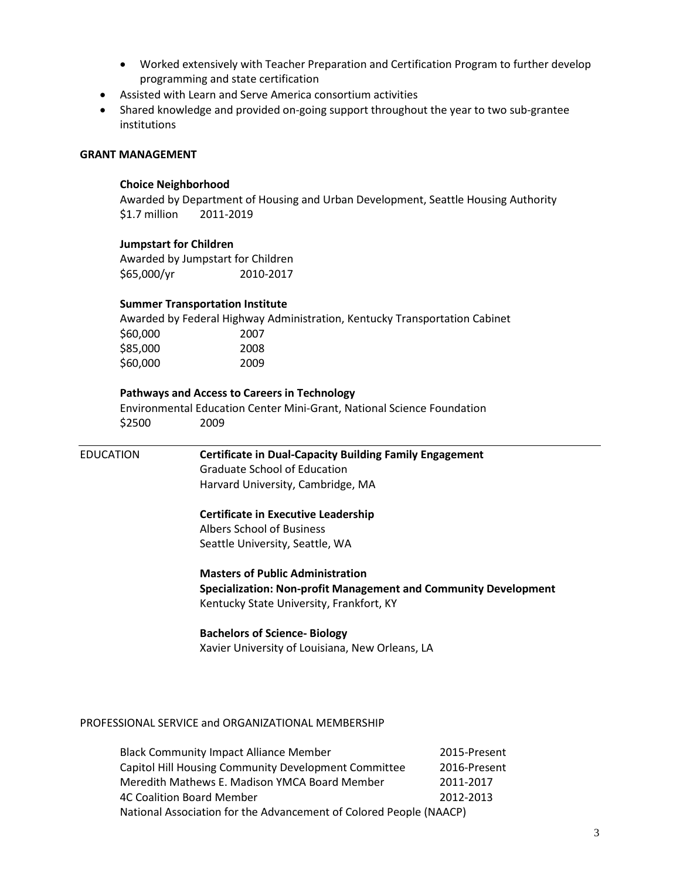- Worked extensively with Teacher Preparation and Certification Program to further develop programming and state certification
- Assisted with Learn and Serve America consortium activities
- Shared knowledge and provided on-going support throughout the year to two sub-grantee institutions

#### **GRANT MANAGEMENT**

#### **Choice Neighborhood**

Awarded by Department of Housing and Urban Development, Seattle Housing Authority \$1.7 million 2011-2019

#### **Jumpstart for Children**

Awarded by Jumpstart for Children \$65,000/yr 2010-2017

#### **Summer Transportation Institute**

Awarded by Federal Highway Administration, Kentucky Transportation Cabinet \$60,000 2007 \$85,000 2008 \$60,000 2009

#### **Pathways and Access to Careers in Technology**

Environmental Education Center Mini-Grant, National Science Foundation \$2500 2009

EDUCATION **Certificate in Dual-Capacity Building Family Engagement** Graduate School of Education Harvard University, Cambridge, MA **Certificate in Executive Leadership** Albers School of Business Seattle University, Seattle, WA **Masters of Public Administration Specialization: Non-profit Management and Community Development**  Kentucky State University, Frankfort, KY **Bachelors of Science- Biology**

Xavier University of Louisiana, New Orleans, LA

#### PROFESSIONAL SERVICE and ORGANIZATIONAL MEMBERSHIP

| <b>Black Community Impact Alliance Member</b>                      | 2015-Present |  |  |  |  |  |  |
|--------------------------------------------------------------------|--------------|--|--|--|--|--|--|
| Capitol Hill Housing Community Development Committee               | 2016-Present |  |  |  |  |  |  |
| Meredith Mathews E. Madison YMCA Board Member                      | 2011-2017    |  |  |  |  |  |  |
| <b>4C Coalition Board Member</b>                                   | 2012-2013    |  |  |  |  |  |  |
| National Association for the Advancement of Colored People (NAACP) |              |  |  |  |  |  |  |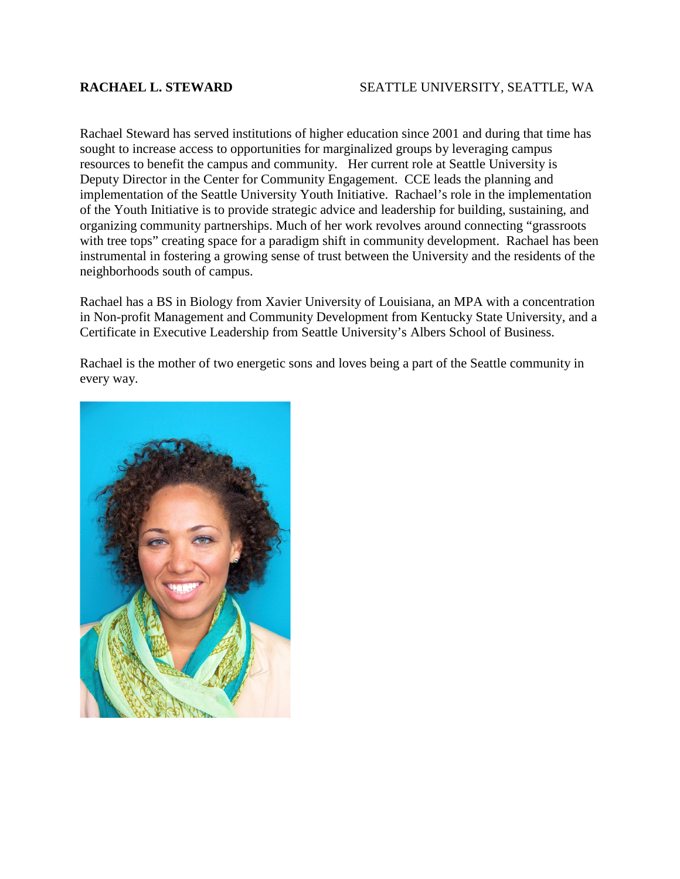### **RACHAEL L. STEWARD** SEATTLE UNIVERSITY, SEATTLE, WA

Rachael Steward has served institutions of higher education since 2001 and during that time has sought to increase access to opportunities for marginalized groups by leveraging campus resources to benefit the campus and community. Her current role at Seattle University is Deputy Director in the Center for Community Engagement. CCE leads the planning and implementation of the Seattle University Youth Initiative. Rachael's role in the implementation of the Youth Initiative is to provide strategic advice and leadership for building, sustaining, and organizing community partnerships. Much of her work revolves around connecting "grassroots with tree tops" creating space for a paradigm shift in community development. Rachael has been instrumental in fostering a growing sense of trust between the University and the residents of the neighborhoods south of campus.

Rachael has a BS in Biology from Xavier University of Louisiana, an MPA with a concentration in Non-profit Management and Community Development from Kentucky State University, and a Certificate in Executive Leadership from Seattle University's Albers School of Business.

Rachael is the mother of two energetic sons and loves being a part of the Seattle community in every way.